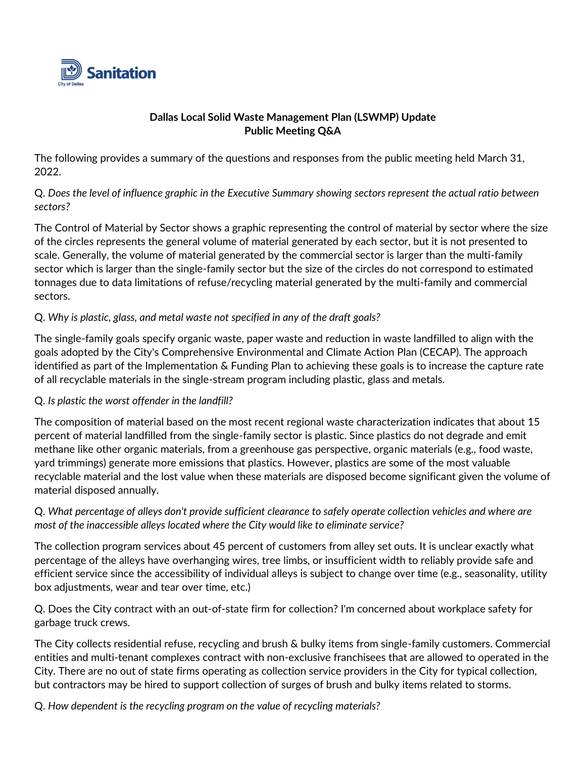

### **Dallas Local Solid Waste Management Plan (LSWMP) Update Public Meeting Q&A**

The following provides a summary of the questions and responses from the public meeting held March 31, 2022.

Q. *Does the level of influence graphic in the Executive Summary showing sectors represent the actual ratio between sectors?* 

The Control of Material by Sector shows a graphic representing the control of material by sector where the size of the circles represents the general volume of material generated by each sector, but it is not presented to scale. Generally, the volume of material generated by the commercial sector is larger than the multi-family sector which is larger than the single-family sector but the size of the circles do not correspond to estimated tonnages due to data limitations of refuse/recycling material generated by the multi-family and commercial sectors.

# Q. *Why is plastic, glass, and metal waste not specified in any of the draft goals?*

The single-family goals specify organic waste, paper waste and reduction in waste landfilled to align with the goals adopted by the City's Comprehensive Environmental and Climate Action Plan (CECAP). The approach identified as part of the Implementation & Funding Plan to achieving these goals is to increase the capture rate of all recyclable materials in the single-stream program including plastic, glass and metals.

# Q. *Is plastic the worst offender in the landfill?*

The composition of material based on the most recent regional waste characterization indicates that about 15 percent of material landfilled from the single-family sector is plastic. Since plastics do not degrade and emit methane like other organic materials, from a greenhouse gas perspective, organic materials (e.g., food waste, yard trimmings) generate more emissions that plastics. However, plastics are some of the most valuable recyclable material and the lost value when these materials are disposed become significant given the volume of material disposed annually.

Q. *What percentage of alleys don't provide sufficient clearance to safely operate collection vehicles and where are most of the inaccessible alleys located where the City would like to eliminate service?*

The collection program services about 45 percent of customers from alley set outs. It is unclear exactly what percentage of the alleys have overhanging wires, tree limbs, or insufficient width to reliably provide safe and efficient service since the accessibility of individual alleys is subject to change over time (e.g., seasonality, utility box adjustments, wear and tear over time, etc.)

Q. Does the City contract with an out-of-state firm for collection? I'm concerned about workplace safety for garbage truck crews.

The City collects residential refuse, recycling and brush & bulky items from single-family customers. Commercial entities and multi-tenant complexes contract with non-exclusive franchisees that are allowed to operated in the City. There are no out of state firms operating as collection service providers in the City for typical collection, but contractors may be hired to support collection of surges of brush and bulky items related to storms.

Q. *How dependent is the recycling program on the value of recycling materials?*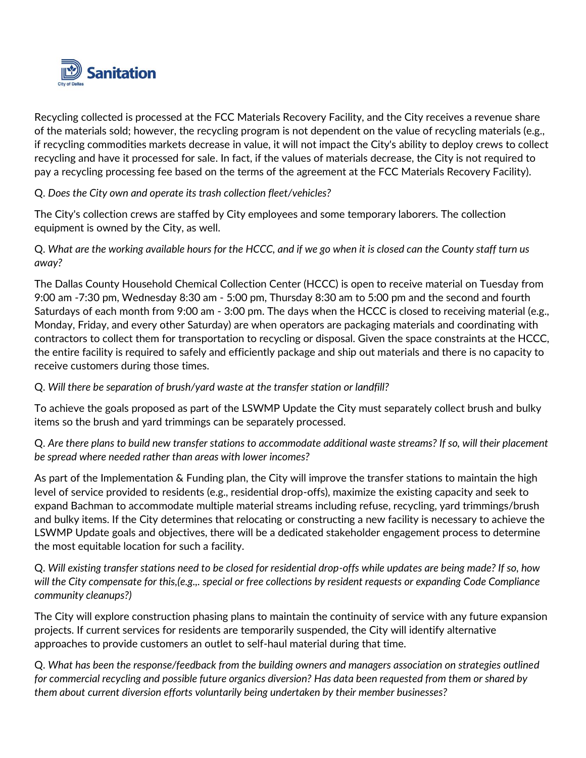

Recycling collected is processed at the FCC Materials Recovery Facility, and the City receives a revenue share of the materials sold; however, the recycling program is not dependent on the value of recycling materials (e.g., if recycling commodities markets decrease in value, it will not impact the City's ability to deploy crews to collect recycling and have it processed for sale. In fact, if the values of materials decrease, the City is not required to pay a recycling processing fee based on the terms of the agreement at the FCC Materials Recovery Facility).

# Q. *Does the City own and operate its trash collection fleet/vehicles?*

The City's collection crews are staffed by City employees and some temporary laborers. The collection equipment is owned by the City, as well.

Q. *What are the working available hours for the HCCC, and if we go when it is closed can the County staff turn us away?*

The Dallas County Household Chemical Collection Center (HCCC) is open to receive material on Tuesday from 9:00 am -7:30 pm, Wednesday 8:30 am - 5:00 pm, Thursday 8:30 am to 5:00 pm and the second and fourth Saturdays of each month from 9:00 am - 3:00 pm. The days when the HCCC is closed to receiving material (e.g., Monday, Friday, and every other Saturday) are when operators are packaging materials and coordinating with contractors to collect them for transportation to recycling or disposal. Given the space constraints at the HCCC, the entire facility is required to safely and efficiently package and ship out materials and there is no capacity to receive customers during those times.

# Q. *Will there be separation of brush/yard waste at the transfer station or landfill?*

To achieve the goals proposed as part of the LSWMP Update the City must separately collect brush and bulky items so the brush and yard trimmings can be separately processed.

Q. *Are there plans to build new transfer stations to accommodate additional waste streams? If so, will their placement be spread where needed rather than areas with lower incomes?*

As part of the Implementation & Funding plan, the City will improve the transfer stations to maintain the high level of service provided to residents (e.g., residential drop-offs), maximize the existing capacity and seek to expand Bachman to accommodate multiple material streams including refuse, recycling, yard trimmings/brush and bulky items. If the City determines that relocating or constructing a new facility is necessary to achieve the LSWMP Update goals and objectives, there will be a dedicated stakeholder engagement process to determine the most equitable location for such a facility.

Q. *Will existing transfer stations need to be closed for residential drop-offs while updates are being made? If so, how will the City compensate for this,(e.g.,. special or free collections by resident requests or expanding Code Compliance community cleanups?)*

The City will explore construction phasing plans to maintain the continuity of service with any future expansion projects. If current services for residents are temporarily suspended, the City will identify alternative approaches to provide customers an outlet to self-haul material during that time.

Q. *What has been the response/feedback from the building owners and managers association on strategies outlined for commercial recycling and possible future organics diversion? Has data been requested from them or shared by them about current diversion efforts voluntarily being undertaken by their member businesses?*